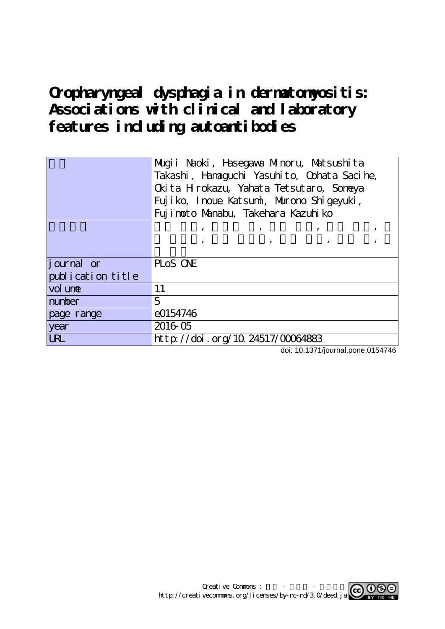**Oropharyngeal dysphagia in dermatomyositis: Associations with clinical and laboratory features including autoantibodies**

|                   | Mugii Naoki, Hasegawa Minoru, Matsushita<br>Takashi, Hanaguchi Yasuhito, Oohata Sacihe,<br>Ckita Hrokazu, Yahata Tetsutaro, Soneya<br>Fujiko, Inoue Katsumi, Murono Shigeyuki,                                                               |  |  |  |  |  |  |
|-------------------|----------------------------------------------------------------------------------------------------------------------------------------------------------------------------------------------------------------------------------------------|--|--|--|--|--|--|
|                   | Fuj i noto Manabu, Takehara Kazuhi ko                                                                                                                                                                                                        |  |  |  |  |  |  |
|                   | от представители по представители с природните се природните се природните се природните се природните се при<br>В село на природните се природните се природните се природните се природните се природните се природните се пр<br>$\bullet$ |  |  |  |  |  |  |
|                   | $\overline{\phantom{a}}$                                                                                                                                                                                                                     |  |  |  |  |  |  |
|                   |                                                                                                                                                                                                                                              |  |  |  |  |  |  |
| journal or        | PLOS ONE                                                                                                                                                                                                                                     |  |  |  |  |  |  |
| publication title |                                                                                                                                                                                                                                              |  |  |  |  |  |  |
| vol une           | 11                                                                                                                                                                                                                                           |  |  |  |  |  |  |
| number            | 5                                                                                                                                                                                                                                            |  |  |  |  |  |  |
| page range        | e0154746                                                                                                                                                                                                                                     |  |  |  |  |  |  |
| year              | 2016 05                                                                                                                                                                                                                                      |  |  |  |  |  |  |
| <b>URL</b>        | http://doi.org/10.24517/00064883                                                                                                                                                                                                             |  |  |  |  |  |  |

doi: 10.1371/journal.pone.0154746

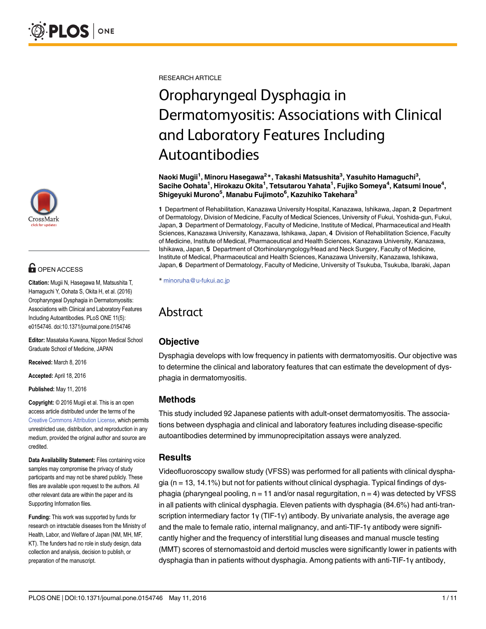

# **G** OPEN ACCESS

Citation: Mugii N, Hasegawa M, Matsushita T, Hamaguchi Y, Oohata S, Okita H, et al. (2016) Oropharyngeal Dysphagia in Dermatomyositis: Associations with Clinical and Laboratory Features Including Autoantibodies. PLoS ONE 11(5): e0154746. doi:10.1371/journal.pone.0154746

Editor: Masataka Kuwana, Nippon Medical School Graduate School of Medicine, JAPAN

Received: March 8, 2016

Accepted: April 18, 2016

Published: May 11, 2016

Copyright: © 2016 Mugii et al. This is an open access article distributed under the terms of the [Creative Commons Attribution License,](http://creativecommons.org/licenses/by/4.0/) which permits unrestricted use, distribution, and reproduction in any medium, provided the original author and source are credited.

Data Availability Statement: Files containing voice samples may compromise the privacy of study participants and may not be shared publicly. These files are available upon request to the authors. All other relevant data are within the paper and its Supporting Information files.

Funding: This work was supported by funds for research on intractable diseases from the Ministry of Health, Labor, and Welfare of Japan (NM, MH, MF, KT). The funders had no role in study design, data collection and analysis, decision to publish, or preparation of the manuscript.

RESEARCH ARTICLE

# Oropharyngeal Dysphagia in Dermatomyositis: Associations with Clinical and Laboratory Features Including Autoantibodies

Naoki Mugii<sup>1</sup>, Minoru Hasegawa<sup>2</sup>\*, Takashi Matsushita<sup>3</sup>, Yasuhito Hamaguchi<sup>3</sup>, Sacihe Oohata<sup>1</sup>, Hirokazu Okita<sup>1</sup>, Tetsutarou Yahata<sup>1</sup>, Fujiko Someya<sup>4</sup>, Katsumi Inoue<sup>4</sup>, Shigeyuki Murono<sup>5</sup>, Manabu Fujimoto<sup>6</sup>, Kazuhiko Takehara<sup>3</sup>

1 Department of Rehabilitation, Kanazawa University Hospital, Kanazawa, Ishikawa, Japan, 2 Department of Dermatology, Division of Medicine, Faculty of Medical Sciences, University of Fukui, Yoshida-gun, Fukui, Japan, 3 Department of Dermatology, Faculty of Medicine, Institute of Medical, Pharmaceutical and Health Sciences, Kanazawa University, Kanazawa, Ishikawa, Japan, 4 Division of Rehabilitation Science, Faculty of Medicine, Institute of Medical, Pharmaceutical and Health Sciences, Kanazawa University, Kanazawa, Ishikawa, Japan, 5 Department of Otorhinolaryngology/Head and Neck Surgery, Faculty of Medicine, Institute of Medical, Pharmaceutical and Health Sciences, Kanazawa University, Kanazawa, Ishikawa, Japan, 6 Department of Dermatology, Faculty of Medicine, University of Tsukuba, Tsukuba, Ibaraki, Japan

\* minoruha@u-fukui.ac.jp

# Abstract

## **Objective**

Dysphagia develops with low frequency in patients with dermatomyositis. Our objective was to determine the clinical and laboratory features that can estimate the development of dysphagia in dermatomyositis.

## Methods

This study included 92 Japanese patients with adult-onset dermatomyositis. The associations between dysphagia and clinical and laboratory features including disease-specific autoantibodies determined by immunoprecipitation assays were analyzed.

#### **Results**

Videofluoroscopy swallow study (VFSS) was performed for all patients with clinical dysphagia ( $n = 13$ , 14.1%) but not for patients without clinical dysphagia. Typical findings of dysphagia (pharyngeal pooling,  $n = 11$  and/or nasal regurgitation,  $n = 4$ ) was detected by VFSS in all patients with clinical dysphagia. Eleven patients with dysphagia (84.6%) had anti-transcription intermediary factor 1γ (TIF-1γ) antibody. By univariate analysis, the average age and the male to female ratio, internal malignancy, and anti-TIF-1γ antibody were significantly higher and the frequency of interstitial lung diseases and manual muscle testing (MMT) scores of sternomastoid and dertoid muscles were significantly lower in patients with dysphagia than in patients without dysphagia. Among patients with anti-TIF-1γ antibody,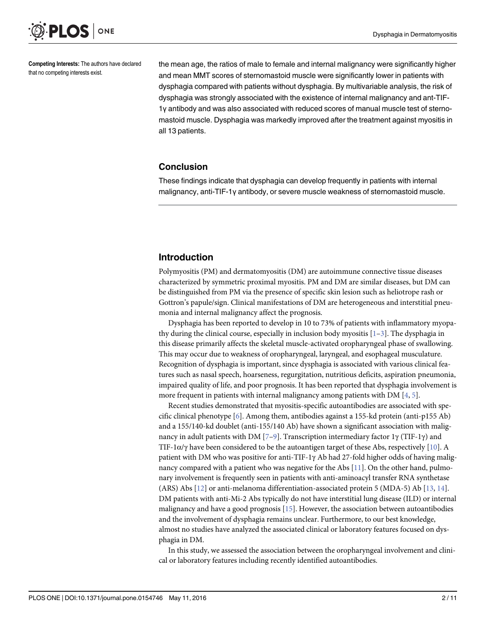<span id="page-2-0"></span>

Competing Interests: The authors have declared that no competing interests exist.

the mean age, the ratios of male to female and internal malignancy were significantly higher and mean MMT scores of sternomastoid muscle were significantly lower in patients with dysphagia compared with patients without dysphagia. By multivariable analysis, the risk of dysphagia was strongly associated with the existence of internal malignancy and ant-TIF-1γ antibody and was also associated with reduced scores of manual muscle test of sternomastoid muscle. Dysphagia was markedly improved after the treatment against myositis in all 13 patients.

#### Conclusion

These findings indicate that dysphagia can develop frequently in patients with internal malignancy, anti-TIF-1γ antibody, or severe muscle weakness of sternomastoid muscle.

#### Introduction

Polymyositis (PM) and dermatomyositis (DM) are autoimmune connective tissue diseases characterized by symmetric proximal myositis. PM and DM are similar diseases, but DM can be distinguished from PM via the presence of specific skin lesion such as heliotrope rash or Gottron's papule/sign. Clinical manifestations of DM are heterogeneous and interstitial pneumonia and internal malignancy affect the prognosis.

Dysphagia has been reported to develop in 10 to 73% of patients with inflammatory myopathy during the clinical course, especially in inclusion body myositis  $[1-3]$  $[1-3]$  $[1-3]$  $[1-3]$  $[1-3]$ . The dysphagia in this disease primarily affects the skeletal muscle-activated oropharyngeal phase of swallowing. This may occur due to weakness of oropharyngeal, laryngeal, and esophageal musculature. Recognition of dysphagia is important, since dysphagia is associated with various clinical features such as nasal speech, hoarseness, regurgitation, nutritious deficits, aspiration pneumonia, impaired quality of life, and poor prognosis. It has been reported that dysphagia involvement is more frequent in patients with internal malignancy among patients with  $DM [4, 5]$  $DM [4, 5]$  $DM [4, 5]$  $DM [4, 5]$ .

Recent studies demonstrated that myositis-specific autoantibodies are associated with specific clinical phenotype  $[6]$  $[6]$ . Among them, antibodies against a 155-kd protein (anti-p155 Ab) and a 155/140-kd doublet (anti-155/140 Ab) have shown a significant association with malignancy in adult patients with DM [ $Z$ – $9$ ]. Transcription intermediary factor 1γ (TIF-1γ) and TIF-1 $\alpha/\gamma$  have been considered to be the autoantigen target of these Abs, respectively [\[10\]](#page-11-0). A patient with DM who was positive for anti-TIF-1γ Ab had 27-fold higher odds of having malignancy compared with a patient who was negative for the Abs  $[11]$  $[11]$ . On the other hand, pulmonary involvement is frequently seen in patients with anti-aminoacyl transfer RNA synthetase (ARS) Abs [[12\]](#page-11-0) or anti-melanoma differentiation-associated protein 5 (MDA-5) Ab [[13](#page-11-0), [14](#page-11-0)]. DM patients with anti-Mi-2 Abs typically do not have interstitial lung disease (ILD) or internal malignancy and have a good prognosis [\[15\]](#page-11-0). However, the association between autoantibodies and the involvement of dysphagia remains unclear. Furthermore, to our best knowledge, almost no studies have analyzed the associated clinical or laboratory features focused on dysphagia in DM.

In this study, we assessed the association between the oropharyngeal involvement and clinical or laboratory features including recently identified autoantibodies.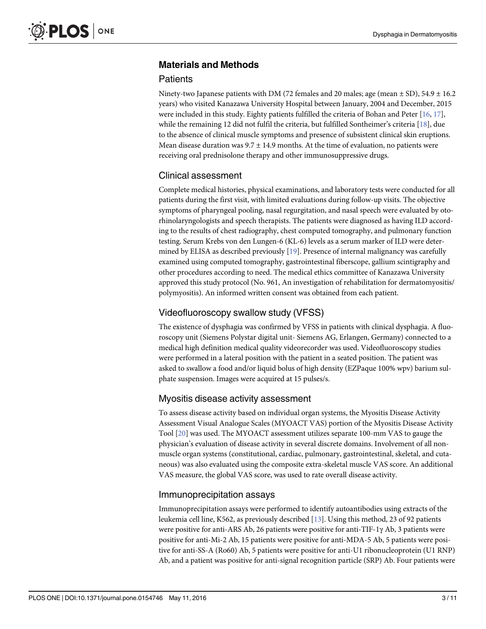# <span id="page-3-0"></span>Materials and Methods

#### **Patients**

Ninety-two Japanese patients with DM (72 females and 20 males; age (mean  $\pm$  SD), 54.9  $\pm$  16.2 years) who visited Kanazawa University Hospital between January, 2004 and December, 2015 were included in this study. Eighty patients fulfilled the criteria of Bohan and Peter  $[16, 17]$  $[16, 17]$  $[16, 17]$ , while the remaining 12 did not fulfil the criteria, but fulfilled Sontheimer's criteria [[18](#page-11-0)], due to the absence of clinical muscle symptoms and presence of subsistent clinical skin eruptions. Mean disease duration was  $9.7 \pm 14.9$  months. At the time of evaluation, no patients were receiving oral prednisolone therapy and other immunosuppressive drugs.

## Clinical assessment

Complete medical histories, physical examinations, and laboratory tests were conducted for all patients during the first visit, with limited evaluations during follow-up visits. The objective symptoms of pharyngeal pooling, nasal regurgitation, and nasal speech were evaluated by otorhinolaryngologists and speech therapists. The patients were diagnosed as having ILD according to the results of chest radiography, chest computed tomography, and pulmonary function testing. Serum Krebs von den Lungen-6 (KL-6) levels as a serum marker of ILD were determined by ELISA as described previously  $[19]$  $[19]$  $[19]$ . Presence of internal malignancy was carefully examined using computed tomography, gastrointestinal fiberscope, gallium scintigraphy and other procedures according to need. The medical ethics committee of Kanazawa University approved this study protocol (No. 961, An investigation of rehabilitation for dermatomyositis/ polymyositis). An informed written consent was obtained from each patient.

# Videofluoroscopy swallow study (VFSS)

The existence of dysphagia was confirmed by VFSS in patients with clinical dysphagia. A fluoroscopy unit (Siemens Polystar digital unit- Siemens AG, Erlangen, Germany) connected to a medical high definition medical quality videorecorder was used. Videofluoroscopy studies were performed in a lateral position with the patient in a seated position. The patient was asked to swallow a food and/or liquid bolus of high density (EZPaque 100% wpv) barium sulphate suspension. Images were acquired at 15 pulses/s.

## Myositis disease activity assessment

To assess disease activity based on individual organ systems, the Myositis Disease Activity Assessment Visual Analogue Scales (MYOACT VAS) portion of the Myositis Disease Activity Tool [\[20\]](#page-11-0) was used. The MYOACT assessment utilizes separate 100-mm VAS to gauge the physician's evaluation of disease activity in several discrete domains. Involvement of all nonmuscle organ systems (constitutional, cardiac, pulmonary, gastrointestinal, skeletal, and cutaneous) was also evaluated using the composite extra-skeletal muscle VAS score. An additional VAS measure, the global VAS score, was used to rate overall disease activity.

# Immunoprecipitation assays

Immunoprecipitation assays were performed to identify autoantibodies using extracts of the leukemia cell line, K562, as previously described [\[13](#page-11-0)]. Using this method, 23 of 92 patients were positive for anti-ARS Ab, 26 patients were positive for anti-TIF-1γ Ab, 3 patients were positive for anti-Mi-2 Ab, 15 patients were positive for anti-MDA-5 Ab, 5 patients were positive for anti-SS-A (Ro60) Ab, 5 patients were positive for anti-U1 ribonucleoprotein (U1 RNP) Ab, and a patient was positive for anti-signal recognition particle (SRP) Ab. Four patients were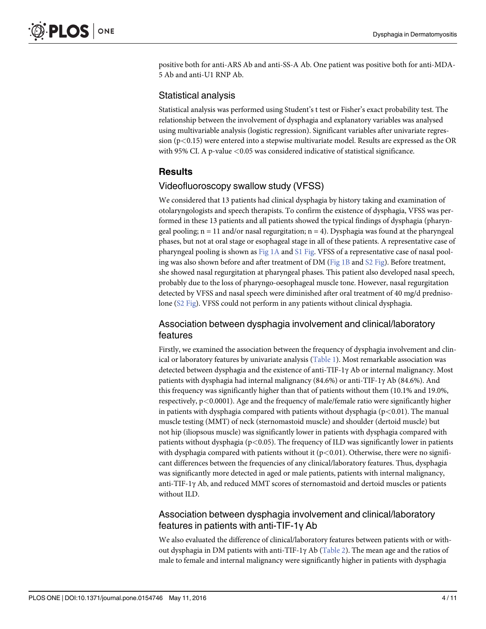<span id="page-4-0"></span>positive both for anti-ARS Ab and anti-SS-A Ab. One patient was positive both for anti-MDA-5 Ab and anti-U1 RNP Ab.

#### Statistical analysis

Statistical analysis was performed using Student's t test or Fisher's exact probability test. The relationship between the involvement of dysphagia and explanatory variables was analysed using multivariable analysis (logistic regression). Significant variables after univariate regression  $(p<0.15)$  were entered into a stepwise multivariate model. Results are expressed as the OR with 95% CI. A p-value  $\langle 0.05 \rangle$  was considered indicative of statistical significance.

## Results

#### Videofluoroscopy swallow study (VFSS)

We considered that 13 patients had clinical dysphagia by history taking and examination of otolaryngologists and speech therapists. To confirm the existence of dysphagia, VFSS was performed in these 13 patients and all patients showed the typical findings of dysphagia (pharyngeal pooling;  $n = 11$  and/or nasal regurgitation;  $n = 4$ ). Dysphagia was found at the pharyngeal phases, but not at oral stage or esophageal stage in all of these patients. A representative case of pharyngeal pooling is shown as  $Fig 1A$  and  $S1$  Fig. VFSS of a representative case of nasal pooling was also shown before and after treatment of DM ( $Fig 1B$  and  $S2 Fig$ ). Before treatment, she showed nasal regurgitation at pharyngeal phases. This patient also developed nasal speech, probably due to the loss of pharyngo-oesophageal muscle tone. However, nasal regurgitation detected by VFSS and nasal speech were diminished after oral treatment of 40 mg/d prednisolone ([S2 Fig\)](#page-10-0). VFSS could not perform in any patients without clinical dysphagia.

#### Association between dysphagia involvement and clinical/laboratory features

Firstly, we examined the association between the frequency of dysphagia involvement and clinical or laboratory features by univariate analysis [\(Table 1\)](#page-6-0). Most remarkable association was detected between dysphagia and the existence of anti-TIF-1γ Ab or internal malignancy. Most patients with dysphagia had internal malignancy (84.6%) or anti-TIF-1γ Ab (84.6%). And this frequency was significantly higher than that of patients without them (10.1% and 19.0%, respectively, p<0.0001). Age and the frequency of male/female ratio were significantly higher in patients with dysphagia compared with patients without dysphagia ( $p < 0.01$ ). The manual muscle testing (MMT) of neck (sternomastoid muscle) and shoulder (dertoid muscle) but not hip (iliopsous muscle) was significantly lower in patients with dysphagia compared with patients without dysphagia ( $p < 0.05$ ). The frequency of ILD was significantly lower in patients with dysphagia compared with patients without it  $(p<0.01)$ . Otherwise, there were no significant differences between the frequencies of any clinical/laboratory features. Thus, dysphagia was significantly more detected in aged or male patients, patients with internal malignancy, anti-TIF-1γ Ab, and reduced MMT scores of sternomastoid and dertoid muscles or patients without ILD.

## Association between dysphagia involvement and clinical/laboratory features in patients with anti-TIF-1γ Ab

We also evaluated the difference of clinical/laboratory features between patients with or without dysphagia in DM patients with anti-TIF-1γ Ab [\(Table 2](#page-7-0)). The mean age and the ratios of male to female and internal malignancy were significantly higher in patients with dysphagia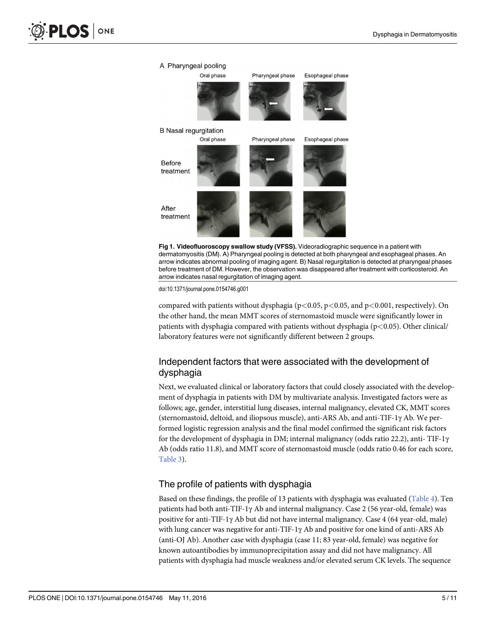<span id="page-5-0"></span>

[Fig 1. V](#page-4-0)ideofluoroscopy swallow study (VFSS). Videoradiographic sequence in a patient with dermatomyositis (DM). A) Pharyngeal pooling is detected at both pharyngeal and esophageal phases. An arrow indicates abnormal pooling of imaging agent. B) Nasal regurgitation is detected at pharyngeal phases before treatment of DM. However, the observation was disappeared after treatment with corticosteroid. An arrow indicates nasal regurgitation of imaging agent.

doi:10.1371/journal.pone.0154746.g001

compared with patients without dysphagia ( $p<0.05$ ,  $p<0.05$ , and  $p<0.001$ , respectively). On the other hand, the mean MMT scores of sternomastoid muscle were significantly lower in patients with dysphagia compared with patients without dysphagia ( $p$ <0.05). Other clinical/ laboratory features were not significantly different between 2 groups.

# Independent factors that were associated with the development of dysphagia

Next, we evaluated clinical or laboratory factors that could closely associated with the development of dysphagia in patients with DM by multivariate analysis. Investigated factors were as follows; age, gender, interstitial lung diseases, internal malignancy, elevated CK, MMT scores (sternomastoid, deltoid, and iliopsous muscle), anti-ARS Ab, and anti-TIF-1γ Ab. We performed logistic regression analysis and the final model confirmed the significant risk factors for the development of dysphagia in DM; internal malignancy (odds ratio 22.2), anti- TIF-1γ Ab (odds ratio 11.8), and MMT score of sternomastoid muscle (odds ratio 0.46 for each score, [Table 3](#page-7-0)).

## The profile of patients with dysphagia

Based on these findings, the profile of 13 patients with dysphagia was evaluated [\(Table 4\)](#page-8-0). Ten patients had both anti-TIF-1 $\gamma$  Ab and internal malignancy. Case 2 (56 year-old, female) was positive for anti-TIF-1γ Ab but did not have internal malignancy. Case 4 (64 year-old, male) with lung cancer was negative for anti-TIF-1 $\gamma$  Ab and positive for one kind of anti-ARS Ab (anti-OJ Ab). Another case with dysphagia (case 11; 83 year-old, female) was negative for known autoantibodies by immunoprecipitation assay and did not have malignancy. All patients with dysphagia had muscle weakness and/or elevated serum CK levels. The sequence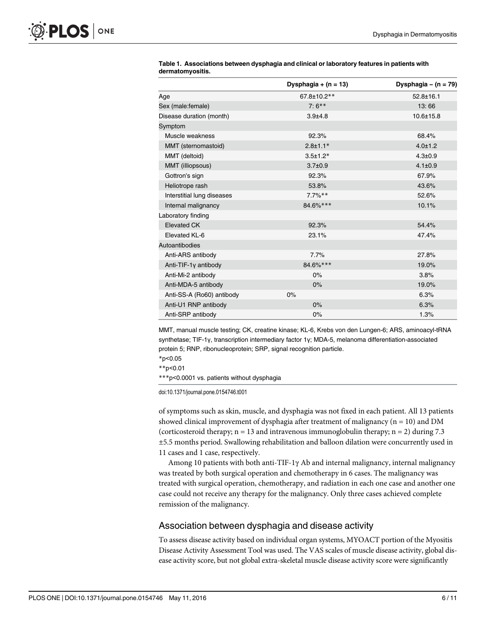|                            | Dysphagia + $(n = 13)$ | Dysphagia – $(n = 79)$ |
|----------------------------|------------------------|------------------------|
| Age                        | 67.8±10.2**            | $52.8 \pm 16.1$        |
| Sex (male:female)          | $7:6***$               | 13:66                  |
| Disease duration (month)   | $3.9 + 4.8$            | $10.6 \pm 15.8$        |
| Symptom                    |                        |                        |
| Muscle weakness            | 92.3%                  | 68.4%                  |
| MMT (sternomastoid)        | $2.8 \pm 1.1*$         | $4.0 \pm 1.2$          |
| MMT (deltoid)              | $3.5 \pm 1.2*$         | $4.3 \pm 0.9$          |
| MMT (illiopsous)           | $3.7 \pm 0.9$          | $4.1 \pm 0.9$          |
| Gottron's sign             | 92.3%                  | 67.9%                  |
| Heliotrope rash            | 53.8%                  | 43.6%                  |
| Interstitial lung diseases | $7.7\%$ **             | 52.6%                  |
| Internal malignancy        | 84.6%***               | 10.1%                  |
| Laboratory finding         |                        |                        |
| <b>Elevated CK</b>         | 92.3%                  | 54.4%                  |
| Elevated KL-6              | 23.1%                  | 47.4%                  |
| Autoantibodies             |                        |                        |
| Anti-ARS antibody          | 7.7%                   | 27.8%                  |
| Anti-TIF-1y antibody       | 84.6%***               | 19.0%                  |
| Anti-Mi-2 antibody         | $0\%$                  | 3.8%                   |
| Anti-MDA-5 antibody        | 0%                     | 19.0%                  |
| Anti-SS-A (Ro60) antibody  | 0%                     | 6.3%                   |
| Anti-U1 RNP antibody       | $0\%$                  | 6.3%                   |
| Anti-SRP antibody          | 0%                     | 1.3%                   |

<span id="page-6-0"></span>

| Table 1. Associations between dysphagia and clinical or laboratory features in patients with |  |  |
|----------------------------------------------------------------------------------------------|--|--|
| dermatomyositis.                                                                             |  |  |

MMT, manual muscle testing; CK, creatine kinase; KL-6, Krebs von den Lungen-6; ARS, aminoacyl-tRNA synthetase; TIF-1γ, transcription intermediary factor 1γ; MDA-5, melanoma differentiation-associated protein 5; RNP, ribonucleoprotein; SRP, signal recognition particle.

\*p<0.05

\*\*p<0.01

\*\*\*p<0.0001 vs. patients without dysphagia

doi:10.1371/journal.pone.0154746.t001

of symptoms such as skin, muscle, and dysphagia was not fixed in each patient. All 13 patients showed clinical improvement of dysphagia after treatment of malignancy ( $n = 10$ ) and DM (corticosteroid therapy;  $n = 13$  and intravenous immunoglobulin therapy;  $n = 2$ ) during 7.3 ±5.5 months period. Swallowing rehabilitation and balloon dilation were concurrently used in 11 cases and 1 case, respectively.

Among 10 patients with both anti-TIF-1 $\gamma$  Ab and internal malignancy, internal malignancy was treated by both surgical operation and chemotherapy in 6 cases. The malignancy was treated with surgical operation, chemotherapy, and radiation in each one case and another one case could not receive any therapy for the malignancy. Only three cases achieved complete remission of the malignancy.

#### Association between dysphagia and disease activity

To assess disease activity based on individual organ systems, MYOACT portion of the Myositis Disease Activity Assessment Tool was used. The VAS scales of muscle disease activity, global disease activity score, but not global extra-skeletal muscle disease activity score were significantly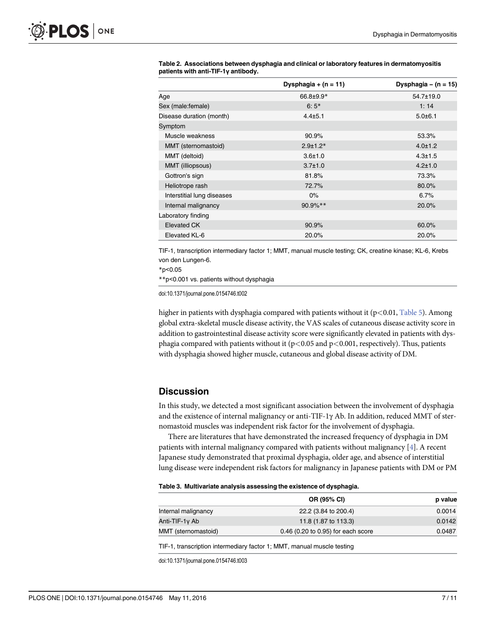| patients with anti-TIF-1y antibody. |                        |                        |
|-------------------------------------|------------------------|------------------------|
|                                     | Dysphagia + $(n = 11)$ | Dysphagia – $(n = 15)$ |
| Age                                 | 66.8±9.9*              | 54.7±19.0              |
| Sex (male: female)                  | $6:5*$                 | 1:14                   |
| Disease duration (month)            | $4.4 + 5.1$            | 5.0±6.1                |
| Symptom                             |                        |                        |
| Muscle weakness                     | 90.9%                  | 53.3%                  |
| MMT (sternomastoid)                 | $2.9 \pm 1.2*$         | $4.0 \pm 1.2$          |
| MMT (deltoid)                       | $3.6 \pm 1.0$          | $4.3 \pm 1.5$          |
| MMT (illiopsous)                    | $3.7 \pm 1.0$          | $4.2 \pm 1.0$          |
| Gottron's sign                      | 81.8%                  | 73.3%                  |
| Heliotrope rash                     | 72.7%                  | 80.0%                  |
| Interstitial lung diseases          | $0\%$                  | 6.7%                   |
| Internal malignancy                 | $90.9\%$ **            | 20.0%                  |
| Laboratory finding                  |                        |                        |
| <b>Elevated CK</b>                  | 90.9%                  | 60.0%                  |
| Elevated KL-6                       | 20.0%                  | 20.0%                  |

<span id="page-7-0"></span>

|                                     | Table 2. Associations between dysphagia and clinical or laboratory features in dermatomyositis |
|-------------------------------------|------------------------------------------------------------------------------------------------|
| patients with anti-TIF-1y antibody. |                                                                                                |

TIF-1, transcription intermediary factor 1; MMT, manual muscle testing; CK, creatine kinase; KL-6, Krebs von den Lungen-6.

\*p<0.05

\*\*p<0.001 vs. patients without dysphagia

doi:10.1371/journal.pone.0154746.t002

higher in patients with dysphagia compared with patients without it ( $p<0.01$ , [Table 5](#page-9-0)). Among global extra-skeletal muscle disease activity, the VAS scales of cutaneous disease activity score in addition to gastrointestinal disease activity score were significantly elevated in patients with dysphagia compared with patients without it  $(p<0.05$  and  $p<0.001$ , respectively). Thus, patients with dysphagia showed higher muscle, cutaneous and global disease activity of DM.

#### **Discussion**

In this study, we detected a most significant association between the involvement of dysphagia and the existence of internal malignancy or anti-TIF-1γ Ab. In addition, reduced MMT of sternomastoid muscles was independent risk factor for the involvement of dysphagia.

There are literatures that have demonstrated the increased frequency of dysphagia in DM patients with internal malignancy compared with patients without malignancy  $[4]$ . A recent Japanese study demonstrated that proximal dysphagia, older age, and absence of interstitial lung disease were independent risk factors for malignancy in Japanese patients with DM or PM

|  | Table 3. Multivariate analysis assessing the existence of dysphagia. |  |  |  |  |
|--|----------------------------------------------------------------------|--|--|--|--|
|--|----------------------------------------------------------------------|--|--|--|--|

| OR (95% CI)                        | p value |
|------------------------------------|---------|
| 22.2 (3.84 to 200.4)               | 0.0014  |
| 11.8 (1.87 to 113.3)               | 0.0142  |
| 0.46 (0.20 to 0.95) for each score | 0.0487  |
|                                    |         |

TIF-1, transcription intermediary factor 1; MMT, manual muscle testing

doi:10.1371/journal.pone.0154746.t003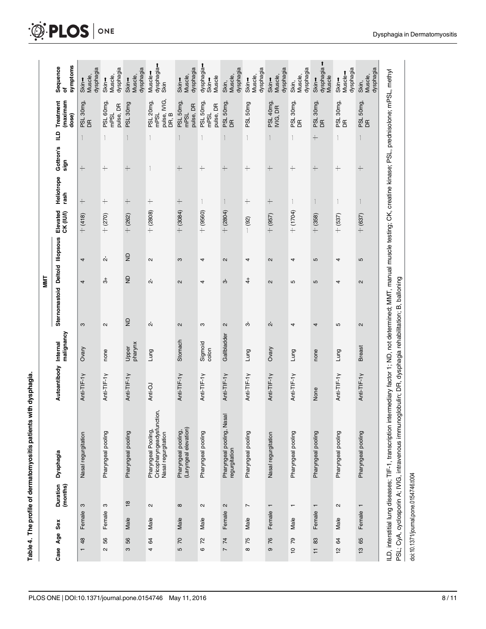| l                                              |
|------------------------------------------------|
|                                                |
|                                                |
|                                                |
|                                                |
| ֧֧֢ׅ֧֧֧֛֧֧֚֚֚֚֚֚֚֚֚֚֚֚֚֚֚֚֚֞֝֓֜֡֜֓֝֓֝֬֜֓֓<br>I |
| l<br>֡֕֜֡֡֡֡֡                                  |
|                                                |
| J                                              |

<span id="page-8-0"></span>

|     | symptoms<br>Sequence<br>৳       | dysphagia<br>Muscle,<br>Skin-  | dysphagia<br>Muscle,<br>Skin-  | dysphagia<br>Muscle,<br>Skin- | dysphagia-<br>Muscle-<br>Skin                                            | dysphagia<br>Muscle,<br>Skin-                | dysphagia <b>-</b><br>Muscle<br>Skin+ | dysphagia<br>Muscle,<br>Skin,              | dysphagia<br>Muscle,<br>Skin- | dysphagia<br>Muscle,<br>Skin- | dysphagia<br>Muscle,<br>Skin, | dysphagia<br>Muscle<br>Skin- | dysphagia<br>Muscle-<br>Skin- | dysphagia<br>Muscle,<br>Skin, |                                                                                                                                                                                                                                                                                            |
|-----|---------------------------------|--------------------------------|--------------------------------|-------------------------------|--------------------------------------------------------------------------|----------------------------------------------|---------------------------------------|--------------------------------------------|-------------------------------|-------------------------------|-------------------------------|------------------------------|-------------------------------|-------------------------------|--------------------------------------------------------------------------------------------------------------------------------------------------------------------------------------------------------------------------------------------------------------------------------------------|
|     | (maximam<br>Treatment<br>dose)  | PSL 30mg,<br>DR                | PSL 60mg,<br>pulse, DR<br>mPSL | PSL 30mg                      | pulse, IVIG,<br>PSL 20mg,<br>mPSL<br>DR, B                               | PSL 50mg,<br>pulse, DR<br>mPSL               | PSL 50mg,<br>pulse, DR<br>mPSL        | PSL 50mg,<br>$\mathsf{g}$                  | PSL 50mg                      | PSL 40mg<br>IVIG, DR          | PSL 30mg,<br>$\mathbf{g}$     | PSL 30mg,<br>DR              | PSL 30mg,<br>DR               | PSL 50mg,<br>DR               |                                                                                                                                                                                                                                                                                            |
|     | $\Xi$                           | $\mathbf{1}$                   |                                |                               |                                                                          |                                              |                                       |                                            |                               | 1                             | 1                             | $\! +$                       |                               | 1                             |                                                                                                                                                                                                                                                                                            |
|     | Gottron's<br>sign               | $^{+}$                         | $^{+}$                         | $^{+}$                        |                                                                          | $^{+}$                                       | $^{+}$                                | $+$                                        | $^{+}$                        | $^{+}$                        | $\! +$                        | $^{+}$                       | $\! +$                        | $+$                           |                                                                                                                                                                                                                                                                                            |
|     | Heliotrope<br>rash              | $\! +$                         | $^{+}$                         | $^{+}$                        | $\hspace{.1cm} + \hspace{.1cm}$                                          | $^{+}$                                       |                                       |                                            | $\! +$                        | $^{+}$                        |                               |                              |                               |                               |                                                                                                                                                                                                                                                                                            |
|     | Elevated<br>CK (IU/I)           | $+$ (418)                      | $+$ (270)                      | $+$ (262)                     | $+ (2808)$                                                               | $+ (3084)$                                   | $+ (9560)$                            | $+ (2804)$                                 | $- (92)$                      | $+ (957)$                     | $+ (1704)$                    | $+$ (358)                    | $+ (537)$                     | $+ (637)$                     |                                                                                                                                                                                                                                                                                            |
|     |                                 | 4                              | ή                              | $\overline{z}$                | 2                                                                        | ო                                            | 4                                     | $\mathbf{\Omega}$                          | 4                             | $\mathbf{\Omega}$             | 4                             | ъ                            | 4                             | 5                             |                                                                                                                                                                                                                                                                                            |
| MMT |                                 | 4                              | ನೆ                             | $\overline{z}$                | ή                                                                        | 2                                            | 4                                     | က်                                         | $\ddot{ }$                    | $\mathbf{\Omega}$             | 5                             | 5                            | 4                             | $\mathbf{\Omega}$             |                                                                                                                                                                                                                                                                                            |
|     | Sternomastoid Deltoid lliopsous | S                              | $\sim$                         | $\overline{z}$                | ή                                                                        | 2                                            | S                                     | 2                                          | ო                             | Ņ                             | 4                             | 4                            | Б                             | $\sim$                        |                                                                                                                                                                                                                                                                                            |
|     | malignancy                      | <b>Ovary</b>                   | none                           | pharynx<br>Upper              | Lung                                                                     | Stomach                                      | Sigmoid<br>colon                      | Gallbladder                                | Lung                          | Ovary                         | Lung                          | none                         | Lung                          | <b>Breast</b>                 |                                                                                                                                                                                                                                                                                            |
|     | Autoantibody Internal           | Anti-TIF-1y                    | Anti-TIF-1Y                    | Anti-TIF-1y                   | Anti-OJ                                                                  | Anti-TIF-1y                                  | Anti-TIF-1Y                           | Anti-TIF-1y                                | Anti-TIF-1y                   | Anti-TIF-1Y                   | Anti-TIF-1y                   | None                         | Anti-TIF-1y                   | Anti-TIF-1y                   |                                                                                                                                                                                                                                                                                            |
|     | Dysphagia                       | Nasal regurgitation            | Pharyngeal pooling             | Pharyngeal pooling            | Cricopharyngeadysfunction,<br>Pharyngeal Pooling,<br>Nasal regurgitation | (Laryngeal elevation)<br>Pharyngeal pooling, | Pharyngeal pooling                    | Pharyngeal pooling, Nasal<br>regurgitation | Pharyngeal pooling            | Nasal regurgitation           | Pharyngeal pooling            | Pharyngeal pooling           | Pharyngeal pooling            | Pharyngeal pooling            | ILD, interstitial lung diseases; TIF-1, transcription intermediary factor 1; ND, not determined; MMT, manual muscle testing; CK, creatine kinase; PSL, prednisolone; mPSL, methyl<br>PSL; CyA, cyclosporin A; IVIG, intravenous immunoglobulin; DR, dysphagia rehabilitation; B, balloning |
|     | (months)<br>Duration            | S                              | ო                              | $\frac{8}{10}$                | $\sim$                                                                   | $\infty$                                     | $\sim$                                | $\mathbf{\Omega}$                          | $\overline{ }$                | $\overline{\phantom{0}}$      | ↽                             | $\overline{\phantom{0}}$     | $\mathbf{\Omega}$             | $\overline{ }$                |                                                                                                                                                                                                                                                                                            |
|     | Sex                             | Female                         | Female                         | Male                          | Male                                                                     | Male                                         | Male                                  | Female                                     | Male                          | Female                        | Male                          | Female                       | Male                          | Female                        |                                                                                                                                                                                                                                                                                            |
|     | Case Age                        | 48<br>$\overline{\phantom{0}}$ | 56<br>$\sim$                   | 56<br>က                       | \$<br>4                                                                  | 20<br>5                                      | 72<br>$\circ$                         | 74<br>$\overline{ }$                       | 75<br>$\infty$                | 76<br>ၜ                       | 79<br>$\overline{C}$          | 83<br>$\overline{1}$         | \$<br>$\frac{1}{2}$           | 65<br>$\frac{1}{2}$           |                                                                                                                                                                                                                                                                                            |

doi:10.1371/journal.pone.0154746.t004

doi:10.1371/journal.pone.0154746.t004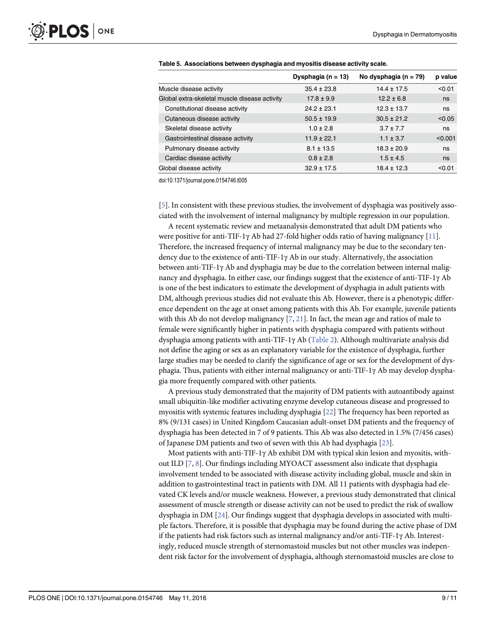|                                               | Dysphagia (n = 13) | No dysphagia ( $n = 79$ ) | p value |
|-----------------------------------------------|--------------------|---------------------------|---------|
| Muscle disease activity                       | $35.4 \pm 23.8$    | $14.4 \pm 17.5$           | < 0.01  |
| Global extra-skeletal muscle disease activity | $17.8 \pm 9.9$     | $12.2 \pm 6.8$            | ns      |
| Constitutional disease activity               | $24.2 \pm 23.1$    | $12.3 \pm 13.7$           | ns      |
| Cutaneous disease activity                    | $50.5 \pm 19.9$    | $30.5 \pm 21.2$           | < 0.05  |
| Skeletal disease activity                     | $1.0 \pm 2.8$      | $3.7 \pm 7.7$             | ns      |
| Gastrointestinal disease activity             | $11.9 \pm 22.1$    | $1.1 \pm 3.7$             | < 0.001 |
| Pulmonary disease activity                    | $8.1 \pm 13.5$     | $18.3 \pm 20.9$           | ns      |
| Cardiac disease activity                      | $0.8 \pm 2.8$      | $1.5 \pm 4.5$             | ns      |
| Global disease activity                       | $32.9 \pm 17.5$    | $18.4 \pm 12.3$           | < 0.01  |

<span id="page-9-0"></span>

doi:10.1371/journal.pone.0154746.t005

[\[5](#page-10-0)]. In consistent with these previous studies, the involvement of dysphagia was positively associated with the involvement of internal malignancy by multiple regression in our population.

A recent systematic review and metaanalysis demonstrated that adult DM patients who were positive for anti-TIF-1 $\gamma$  Ab had 27-fold higher odds ratio of having malignancy [[11](#page-11-0)]. Therefore, the increased frequency of internal malignancy may be due to the secondary tendency due to the existence of anti-TIF-1γ Ab in our study. Alternatively, the association between anti-TIF-1γ Ab and dysphagia may be due to the correlation between internal malignancy and dysphagia. In either case, our findings suggest that the existence of anti-TIF-1γ Ab is one of the best indicators to estimate the development of dysphagia in adult patients with DM, although previous studies did not evaluate this Ab. However, there is a phenotypic difference dependent on the age at onset among patients with this Ab. For example, juvenile patients with this Ab do not develop malignancy  $[7, 21]$  $[7, 21]$  $[7, 21]$  $[7, 21]$ . In fact, the mean age and ratios of male to female were significantly higher in patients with dysphagia compared with patients without dysphagia among patients with anti-TIF-1γ Ab ([Table 2](#page-7-0)). Although multivariate analysis did not define the aging or sex as an explanatory variable for the existence of dysphagia, further large studies may be needed to clarify the significance of age or sex for the development of dysphagia. Thus, patients with either internal malignancy or anti-TIF-1γ Ab may develop dysphagia more frequently compared with other patients.

A previous study demonstrated that the majority of DM patients with autoantibody against small ubiquitin-like modifier activating enzyme develop cutaneous disease and progressed to myositis with systemic features including dysphagia [\[22](#page-11-0)] The frequency has been reported as 8% (9/131 cases) in United Kingdom Caucasian adult-onset DM patients and the frequency of dysphagia has been detected in 7 of 9 patients. This Ab was also detected in 1.5% (7/456 cases) of Japanese DM patients and two of seven with this Ab had dysphagia [\[23\]](#page-11-0).

Most patients with anti-TIF-1 $\gamma$  Ab exhibit DM with typical skin lesion and myositis, without ILD  $[7, 8]$  $[7, 8]$  $[7, 8]$  $[7, 8]$ . Our findings including MYOACT assessment also indicate that dysphagia involvement tended to be associated with disease activity including global, muscle and skin in addition to gastrointestinal tract in patients with DM. All 11 patients with dysphagia had elevated CK levels and/or muscle weakness. However, a previous study demonstrated that clinical assessment of muscle strength or disease activity can not be used to predict the risk of swallow dysphagia in DM [\[24\]](#page-11-0). Our findings suggest that dysphagia develops in associated with multiple factors. Therefore, it is possible that dysphagia may be found during the active phase of DM if the patients had risk factors such as internal malignancy and/or anti-TIF-1γ Ab. Interestingly, reduced muscle strength of sternomastoid muscles but not other muscles was independent risk factor for the involvement of dysphagia, although sternomastoid muscles are close to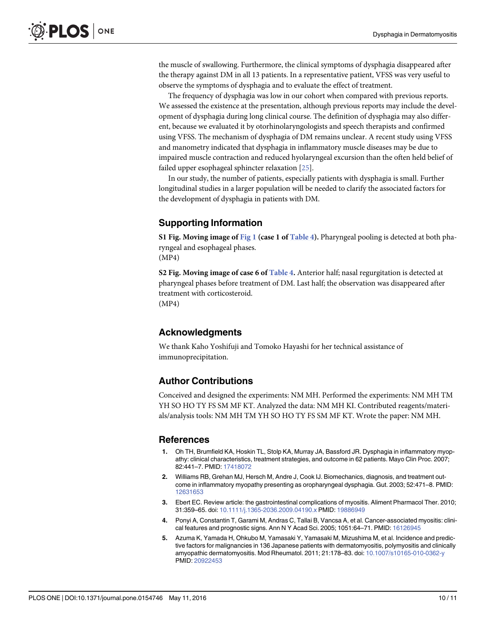<span id="page-10-0"></span>the muscle of swallowing. Furthermore, the clinical symptoms of dysphagia disappeared after the therapy against DM in all 13 patients. In a representative patient, VFSS was very useful to observe the symptoms of dysphagia and to evaluate the effect of treatment.

The frequency of dysphagia was low in our cohort when compared with previous reports. We assessed the existence at the presentation, although previous reports may include the development of dysphagia during long clinical course. The definition of dysphagia may also different, because we evaluated it by otorhinolaryngologists and speech therapists and confirmed using VFSS. The mechanism of dysphagia of DM remains unclear. A recent study using VFSS and manometry indicated that dysphagia in inflammatory muscle diseases may be due to impaired muscle contraction and reduced hyolaryngeal excursion than the often held belief of failed upper esophageal sphincter relaxation [\[25\]](#page-11-0).

In our study, the number of patients, especially patients with dysphagia is small. Further longitudinal studies in a larger population will be needed to clarify the associated factors for the development of dysphagia in patients with DM.

## Supporting Information

[S1 Fig.](http://www.plosone.org/article/fetchSingleRepresentation.action?uri=info:doi/10.1371/journal.pone.0154746.s001) Moving image of [Fig 1](#page-5-0) (case 1 of [Table 4\)](#page-8-0). Pharyngeal pooling is detected at both pharyngeal and esophageal phases. (MP4)

[S2 Fig.](http://www.plosone.org/article/fetchSingleRepresentation.action?uri=info:doi/10.1371/journal.pone.0154746.s002) Moving image of case 6 of  $Table 4$ . Anterior half; nasal regurgitation is detected at pharyngeal phases before treatment of DM. Last half; the observation was disappeared after treatment with corticosteroid. (MP4)

Acknowledgments

We thank Kaho Yoshifuji and Tomoko Hayashi for her technical assistance of immunoprecipitation.

#### Author Contributions

Conceived and designed the experiments: NM MH. Performed the experiments: NM MH TM YH SO HO TY FS SM MF KT. Analyzed the data: NM MH KI. Contributed reagents/materials/analysis tools: NM MH TM YH SO HO TY FS SM MF KT. Wrote the paper: NM MH.

#### References

- [1.](#page-2-0) Oh TH, Brumfield KA, Hoskin TL, Stolp KA, Murray JA, Bassford JR. Dysphagia in inflammatory myopathy: clinical characteristics, treatment strategies, and outcome in 62 patients. Mayo Clin Proc. 2007; 82:441–7. PMID: [17418072](http://www.ncbi.nlm.nih.gov/pubmed/17418072)
- 2. Williams RB, Grehan MJ, Hersch M, Andre J, Cook IJ. Biomechanics, diagnosis, and treatment outcome in inflammatory myopathy presenting as oropharyngeal dysphagia. Gut. 2003; 52:471–8. PMID: [12631653](http://www.ncbi.nlm.nih.gov/pubmed/12631653)
- [3.](#page-2-0) Ebert EC. Review article: the gastrointestinal complications of myositis. Aliment Pharmacol Ther. 2010; 31:359–65. doi: [10.1111/j.1365-2036.2009.04190.x](http://dx.doi.org/10.1111/j.1365-2036.2009.04190.x) PMID: [19886949](http://www.ncbi.nlm.nih.gov/pubmed/19886949)
- [4.](#page-2-0) Ponyi A, Constantin T, Garami M, Andras C, Tallai B, Vancsa A, et al. Cancer-associated myositis: clinical features and prognostic signs. Ann N Y Acad Sci. 2005; 1051:64–71. PMID: [16126945](http://www.ncbi.nlm.nih.gov/pubmed/16126945)
- [5.](#page-2-0) Azuma K, Yamada H, Ohkubo M, Yamasaki Y, Yamasaki M, Mizushima M, et al. Incidence and predictive factors for malignancies in 136 Japanese patients with dermatomyositis, polymyositis and clinically amyopathic dermatomyositis. Mod Rheumatol. 2011; 21:178–83. doi: [10.1007/s10165-010-0362-y](http://dx.doi.org/10.1007/s10165-010-0362-y) PMID: [20922453](http://www.ncbi.nlm.nih.gov/pubmed/20922453)